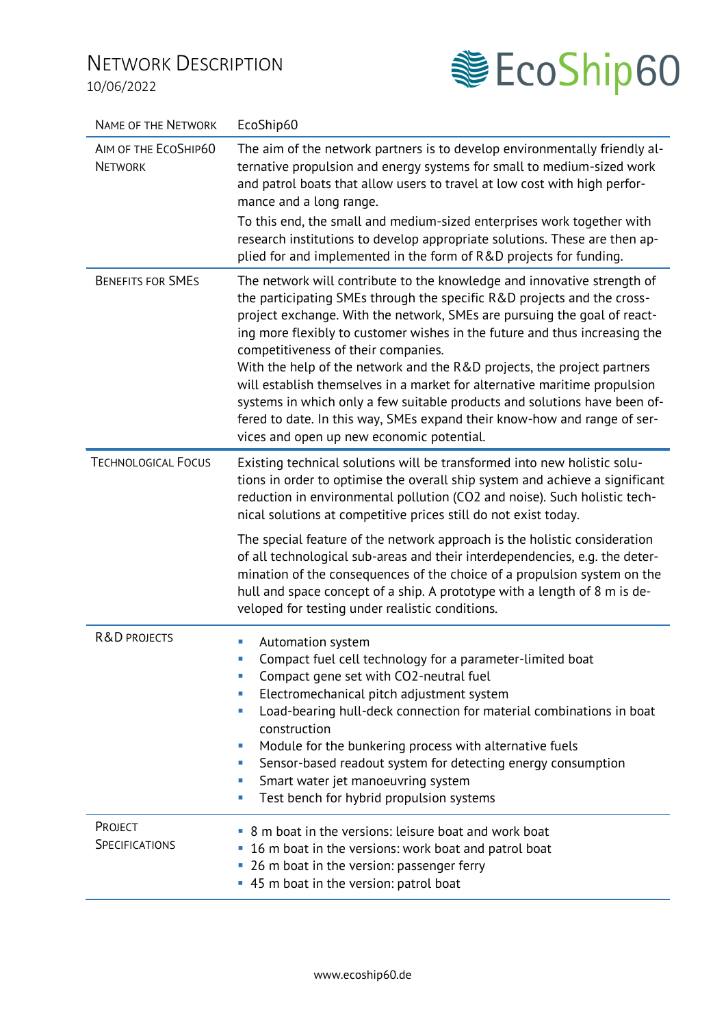## NETWORK DESCRIPTION

10/06/2022



| <b>NAME OF THE NETWORK</b>             | EcoShip60                                                                                                                                                                                                                                                                                                                                                                                                                                                                                                                                                                                                                                                                                                         |
|----------------------------------------|-------------------------------------------------------------------------------------------------------------------------------------------------------------------------------------------------------------------------------------------------------------------------------------------------------------------------------------------------------------------------------------------------------------------------------------------------------------------------------------------------------------------------------------------------------------------------------------------------------------------------------------------------------------------------------------------------------------------|
| AIM OF THE ECOSHIP60<br><b>NETWORK</b> | The aim of the network partners is to develop environmentally friendly al-<br>ternative propulsion and energy systems for small to medium-sized work<br>and patrol boats that allow users to travel at low cost with high perfor-<br>mance and a long range.<br>To this end, the small and medium-sized enterprises work together with                                                                                                                                                                                                                                                                                                                                                                            |
|                                        | research institutions to develop appropriate solutions. These are then ap-<br>plied for and implemented in the form of R&D projects for funding.                                                                                                                                                                                                                                                                                                                                                                                                                                                                                                                                                                  |
| <b>BENEFITS FOR SMES</b>               | The network will contribute to the knowledge and innovative strength of<br>the participating SMEs through the specific R&D projects and the cross-<br>project exchange. With the network, SMEs are pursuing the goal of react-<br>ing more flexibly to customer wishes in the future and thus increasing the<br>competitiveness of their companies.<br>With the help of the network and the R&D projects, the project partners<br>will establish themselves in a market for alternative maritime propulsion<br>systems in which only a few suitable products and solutions have been of-<br>fered to date. In this way, SMEs expand their know-how and range of ser-<br>vices and open up new economic potential. |
| <b>TECHNOLOGICAL FOCUS</b>             | Existing technical solutions will be transformed into new holistic solu-<br>tions in order to optimise the overall ship system and achieve a significant<br>reduction in environmental pollution (CO2 and noise). Such holistic tech-<br>nical solutions at competitive prices still do not exist today.                                                                                                                                                                                                                                                                                                                                                                                                          |
|                                        | The special feature of the network approach is the holistic consideration<br>of all technological sub-areas and their interdependencies, e.g. the deter-<br>mination of the consequences of the choice of a propulsion system on the<br>hull and space concept of a ship. A prototype with a length of 8 m is de-<br>veloped for testing under realistic conditions.                                                                                                                                                                                                                                                                                                                                              |
| R&D PROJECTS                           | Automation system<br>Compact fuel cell technology for a parameter-limited boat<br>Compact gene set with CO2-neutral fuel<br>Electromechanical pitch adjustment system<br>Load-bearing hull-deck connection for material combinations in boat<br>ш<br>construction<br>Module for the bunkering process with alternative fuels<br>ш<br>Sensor-based readout system for detecting energy consumption<br>Smart water jet manoeuvring system<br>ш<br>Test bench for hybrid propulsion systems                                                                                                                                                                                                                          |
| PROJECT<br><b>SPECIFICATIONS</b>       | 8 m boat in the versions: leisure boat and work boat<br>16 m boat in the versions: work boat and patrol boat<br>26 m boat in the version: passenger ferry<br>• 45 m boat in the version: patrol boat                                                                                                                                                                                                                                                                                                                                                                                                                                                                                                              |